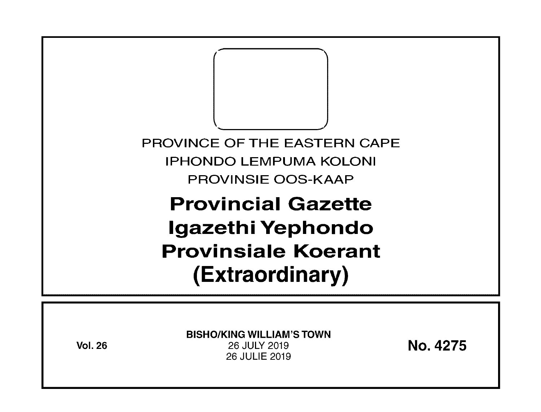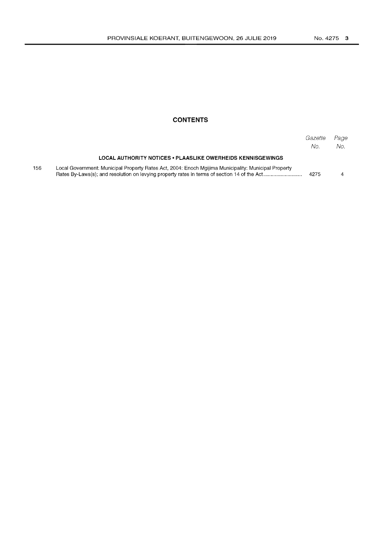#### **CONTENTS**

|     |                                                                                                      | Gazette<br>No. | Page<br>No. |
|-----|------------------------------------------------------------------------------------------------------|----------------|-------------|
|     | <b>LOCAL AUTHORITY NOTICES . PLAASLIKE OWERHEIDS KENNISGEWINGS</b>                                   |                |             |
| 156 | Local Government: Municipal Property Rates Act, 2004: Enoch Maijima Municipality: Municipal Property | 4275           |             |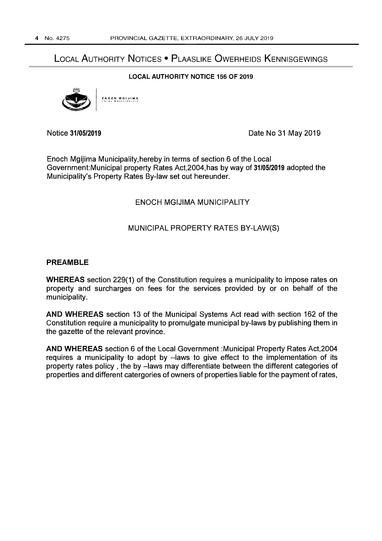# LOCAL AUTHORITY NOTICES • PLAASLIKE OWERHEIDS KENNISGEWINGS

#### LOCAL AUTHORITY NOTICE 156 OF 2019



Notice 31/05/2019 Date No 31 May 2019

Enoch Mgijima MunicipalitY,hereby in terms of section 6 of the Local Government: Municipal property Rates Act, 2004, has by way of 31/05/2019 adopted the Municipality's Property Rates By-law set out hereunder.

#### ENOCH MGIJIMA MUNICIPALITY

#### MUNICIPAL PROPERTY RATES BY-LAW(S)

#### PREAMBLE

WHEREAS section 229(1) of the Constitution requires a municipality to impose rates on property and surcharges on fees for the services provided by or on behalf of the municipality.

AND WHEREAS section 13 of the Municipal Systems Act read with section 162 of the Constitution require a municipality to promulgate municipal by-laws by publishing them in the gazette of the relevant province.

AND WHEREAS section 6 of the Local Government :Municipal Property Rates Act,2004 requires a municipality to adopt by -laws to give effect to the implementation of its property rates policy, the by -laws may differentiate between the different categories of properties and different catergories of owners of properties liable for the payment of rates,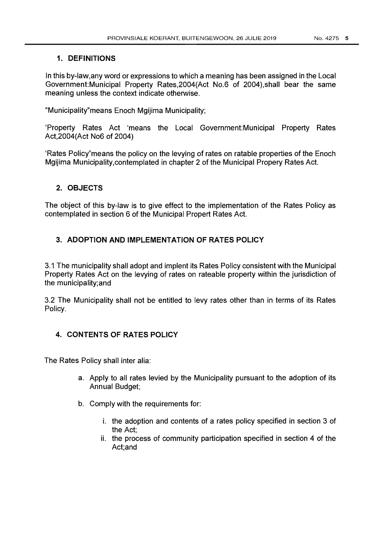#### 1. DEFINITIONS

In this by-Iaw,any word or expressions to which a meaning has been assigned in the Local Government: Municipal Property Rates, 2004 (Act No.6 of 2004), shall bear the same meaning unless the context indicate otherwise.

"Municipality"means Enoch Mgijima Municipality;

'Property Rates Act 'means the Local Government:Municipal Property Rates Act,2004(Act No6 of 2004)

'Rates Policy"means the policy on the levying of rates on ratable properties of the Enoch Mgijima MunicipalitY,contemplated in chapter 2 of the Municipal Propery Rates Act.

## 2. OBJECTS

The object of this by-law is to give effect to the implementation of the Rates Policy as contemplated in section 6 of the Municipal Propert Rates Act.

## 3. ADOPTION AND IMPLEMENTATION OF RATES POLICY

3.1 The municipality shall adopt and implent its Rates Policy consistent with the Municipal Property Rates Act on the levying of rates on rateable property within the jurisdiction of the municipality;and

3.2 The Municipality shall not be entitled to levy rates other than in terms of its Rates Policy.

## 4. CONTENTS OF RATES POLICY

The Rates Policy shall inter alia:

- a. Apply to all rates levied by the Municipality pursuant to the adoption of its Annual Budget;
- b. Comply with the requirements for:
	- i. the adoption and contents of a rates policy specified in section 3 of the Act;
	- ii. the process of community participation specified in section 4 of the Act;and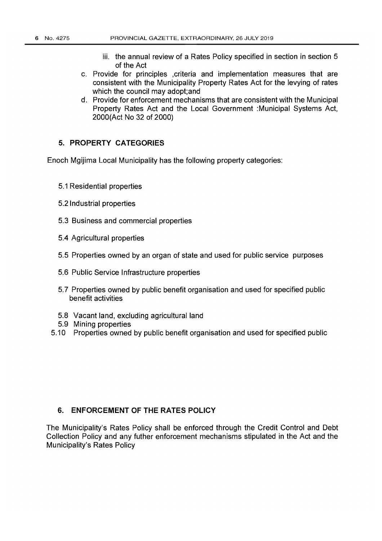- iii. the annual review of a Rates Policy specified in section in section 5 of the Act
- c. Provide for principles ,criteria and implementation measures that are consistent with the Municipality Property Rates Act for the levying of rates which the council may adopt;and
- d. Provide for enforcement mechanisms that are consistent with the Municipal Property Rates Act and the Local Government :Municipal Systems Act, 2000(Act No 32 of 2000)

## 5. **PROPERTY CATEGORIES**

Enoch Mgijima Local Municipality has the following property categories:

- 5.1 Residential properties
- 5.2 Industrial properties
- 5.3 Business and commercial properties
- 5.4 Agricultural properties
- 5.5 Properties owned by an organ of state and used for public service purposes
- 5.6 Public Service Infrastructure properties
- 5.7 Properties owned by public benefit organisation and used for specified public benefit activities
- 5.8 Vacant land, excluding agricultural land
- 5.9 Mining properties
- 5.10 Properties owned by public benefit organisation and used for specified public

#### 6. **ENFORCEMENT OF THE RATES POLICY**

The Municipality's Rates Policy shall be enforced through the Credit Control and Debt Collection Policy and any futher enforcement mechanisms stipulated in the Act and the Municipality's Rates Policy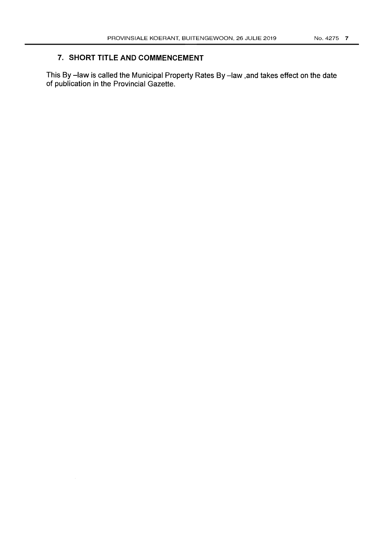## 7. **SHORT TITLE AND COMMENCEMENT**

This By -law is called the Municipal Property Rates By -law ,and takes effect on the date of publication in the Provincial Gazette.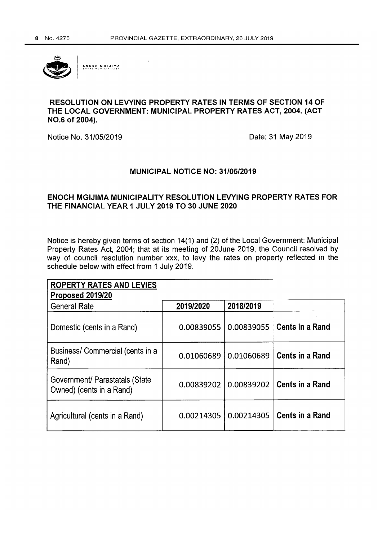

**[NOell MGIJIMI\** 

## **RESOLUTION ON LEVYING PROPERTY RATES IN TERMS OF SECTION 14 OF THE LOCAL GOVERNMENT: MUNICIPAL PROPERTY RATES ACT, 2004. (ACT NO.6 of 2004).**

Notice No. 31/05/2019 **Date: 31 May 2019** 

## **MUNICIPAL NOTICE NO: 31/05/2019**

## **ENOCH MGIJIMA MUNICIPALITY RESOLUTION LEVYING PROPERTY RATES FOR THE FINANCIAL YEAR 1 JULY 2019 TO 30 JUNE 2020**

Notice is hereby given terms of section 14(1) and (2) of the Local Government: Municipal Property Rates Act, 2004; that at its meeting of 20June 2019, the Council resolved by way of council resolution number xxx, to levy the rates on property reflected in the schedule below with effect from 1 July 2019.

| <b>ROPERTY RATES AND LEVIES</b><br>Proposed 2019/20        |            |            |                        |
|------------------------------------------------------------|------------|------------|------------------------|
| <b>General Rate</b>                                        | 2019/2020  | 2018/2019  |                        |
| Domestic (cents in a Rand)                                 | 0.00839055 | 0.00839055 | <b>Cents in a Rand</b> |
| Business/ Commercial (cents in a<br>Rand)                  | 0.01060689 | 0.01060689 | <b>Cents in a Rand</b> |
| Government/ Parastatals (State<br>Owned) (cents in a Rand) | 0.00839202 | 0.00839202 | <b>Cents in a Rand</b> |
| Agricultural (cents in a Rand)                             | 0.00214305 | 0.00214305 | <b>Cents in a Rand</b> |